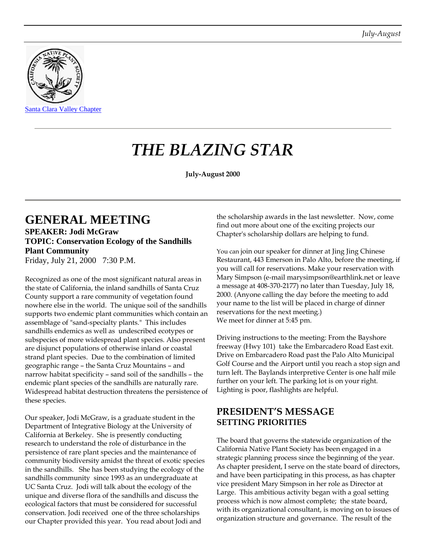

# *THE BLAZING STAR*

**July-August 2000**

### **GENERAL MEETING SPEAKER: Jodi McGraw TOPIC: Conservation Ecology of the Sandhills Plant Community** Friday, July 21, 2000 7:30 P.M.

Recognized as one of the most significant natural areas in the state of California, the inland sandhills of Santa Cruz County support a rare community of vegetation found nowhere else in the world. The unique soil of the sandhills supports two endemic plant communities which contain an assemblage of "sand-specialty plants." This includes sandhills endemics as well as undescribed ecotypes or subspecies of more widespread plant species. Also present are disjunct populations of otherwise inland or coastal strand plant species. Due to the combination of limited geographic range – the Santa Cruz Mountains – and narrow habitat specificity – sand soil of the sandhills – the endemic plant species of the sandhills are naturally rare. Widespread habitat destruction threatens the persistence of these species.

Our speaker, Jodi McGraw, is a graduate student in the Department of Integrative Biology at the University of California at Berkeley. She is presently conducting research to understand the role of disturbance in the persistence of rare plant species and the maintenance of community biodiversity amidst the threat of exotic species in the sandhills. She has been studying the ecology of the sandhills community since 1993 as an undergraduate at UC Santa Cruz. Jodi will talk about the ecology of the unique and diverse flora of the sandhills and discuss the ecological factors that must be considered for successful conservation. Jodi received one of the three scholarships our Chapter provided this year. You read about Jodi and

the scholarship awards in the last newsletter. Now, come find out more about one of the exciting projects our Chapter's scholarship dollars are helping to fund.

You can join our speaker for dinner at Jing Jing Chinese Restaurant, 443 Emerson in Palo Alto, before the meeting, if you will call for reservations. Make your reservation with Mary Simpson (e-mail marysimpson@earthlink.net or leave a message at 408-370-2177) no later than Tuesday, July 18, 2000. (Anyone calling the day before the meeting to add your name to the list will be placed in charge of dinner reservations for the next meeting.) We meet for dinner at 5:45 pm.

Driving instructions to the meeting: From the Bayshore freeway (Hwy 101) take the Embarcadero Road East exit. Drive on Embarcadero Road past the Palo Alto Municipal Golf Course and the Airport until you reach a stop sign and turn left. The Baylands interpretive Center is one half mile further on your left. The parking lot is on your right. Lighting is poor, flashlights are helpful.

### **PRESIDENT'S MESSAGE SETTING PRIORITIES**

The board that governs the statewide organization of the California Native Plant Society has been engaged in a strategic planning process since the beginning of the year. As chapter president, I serve on the state board of directors, and have been participating in this process, as has chapter vice president Mary Simpson in her role as Director at Large. This ambitious activity began with a goal setting process which is now almost complete; the state board, with its organizational consultant, is moving on to issues of organization structure and governance. The result of the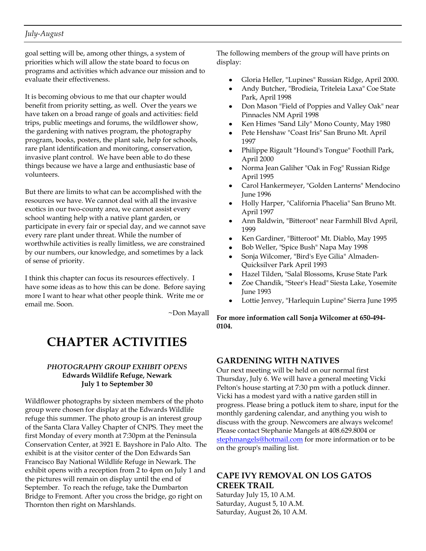### *July-August*

goal setting will be, among other things, a system of priorities which will allow the state board to focus on programs and activities which advance our mission and to evaluate their effectiveness.

It is becoming obvious to me that our chapter would benefit from priority setting, as well. Over the years we have taken on a broad range of goals and activities: field trips, public meetings and forums, the wildflower show, the gardening with natives program, the photography program, books, posters, the plant sale, help for schools, rare plant identification and monitoring, conservation, invasive plant control. We have been able to do these things because we have a large and enthusiastic base of volunteers.

But there are limits to what can be accomplished with the resources we have. We cannot deal with all the invasive exotics in our two-county area, we cannot assist every school wanting help with a native plant garden, or participate in every fair or special day, and we cannot save every rare plant under threat. While the number of worthwhile activities is really limitless, we are constrained by our numbers, our knowledge, and sometimes by a lack of sense of priority.

I think this chapter can focus its resources effectively. I have some ideas as to how this can be done. Before saying more I want to hear what other people think. Write me or email me. Soon.

~Don Mayall

## **CHAPTER ACTIVITIES**

#### *PHOTOGRAPHY GROUP EXHIBIT OPENS* **Edwards Wildlife Refuge, Newark July 1 to September 30**

Wildflower photographs by sixteen members of the photo group were chosen for display at the Edwards Wildlife refuge this summer. The photo group is an interest group of the Santa Clara Valley Chapter of CNPS. They meet the first Monday of every month at 7:30pm at the Peninsula Conservation Center, at 3921 E. Bayshore in Palo Alto. The exhibit is at the visitor center of the Don Edwards San Francisco Bay National Wildlife Refuge in Newark. The exhibit opens with a reception from 2 to 4pm on July 1 and the pictures will remain on display until the end of September. To reach the refuge, take the Dumbarton Bridge to Fremont. After you cross the bridge, go right on Thornton then right on Marshlands.

The following members of the group will have prints on display:

- Gloria Heller, "Lupines" Russian Ridge, April 2000.  $\bullet$
- Andy Butcher, "Brodieia, Triteleia Laxa" Coe State Park, April 1998
- Don Mason "Field of Poppies and Valley Oak" near Pinnacles NM April 1998
- Ken Himes "Sand Lily" Mono County, May 1980
- Pete Henshaw "Coast Iris" San Bruno Mt. April 1997
- Philippe Rigault "Hound's Tongue" Foothill Park, April 2000
- Norma Jean Galiher "Oak in Fog" Russian Ridge April 1995
- Carol Hankermeyer, "Golden Lanterns" Mendocino June 1996
- Holly Harper, "California Phacelia" San Bruno Mt. April 1997
- Ann Baldwin, "Bitteroot" near Farmhill Blvd April, 1999
- Ken Gardiner, "Bitteroot" Mt. Diablo, May 1995
- Bob Weller, "Spice Bush" Napa May 1998
- Sonja Wilcomer, "Bird's Eye Gilia" Almaden-Quicksilver Park April 1993
- Hazel Tilden, "Salal Blossoms, Kruse State Park
- Zoe Chandik, "Steer's Head" Siesta Lake, Yosemite June 1993
- Lottie Jenvey, "Harlequin Lupine" Sierra June 1995

**For more information call Sonja Wilcomer at 650-494- 0104.**

### **GARDENING WITH NATIVES**

Our next meeting will be held on our normal first Thursday, July 6. We will have a general meeting Vicki Pelton's house starting at 7:30 pm with a potluck dinner. Vicki has a modest yard with a native garden still in progress. Please bring a potluck item to share, input for the monthly gardening calendar, and anything you wish to discuss with the group. Newcomers are always welcome! Please contact Stephanie Mangels at 408.629.8004 or [stephmangels@hotmail.com](mailto:stephmangels@hotmail.com) for more information or to be on the group's mailing list.

### **CAPE IVY REMOVAL ON LOS GATOS CREEK TRAIL**

Saturday July 15, 10 A.M. Saturday, August 5, 10 A.M. Saturday, August 26, 10 A.M.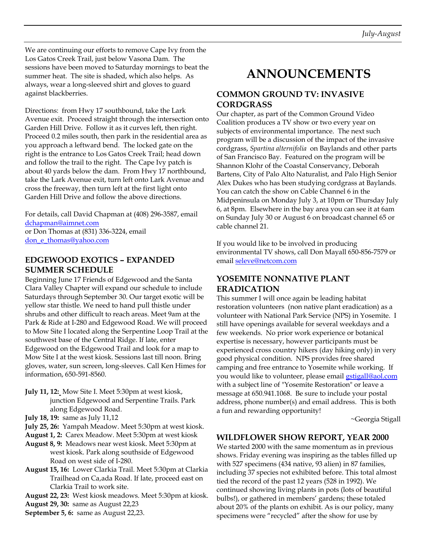We are continuing our efforts to remove Cape Ivy from the Los Gatos Creek Trail, just below Vasona Dam. The sessions have been moved to Saturday mornings to beat the summer heat. The site is shaded, which also helps. As always, wear a long-sleeved shirt and gloves to guard against blackberries.

Directions: from Hwy 17 southbound, take the Lark Avenue exit. Proceed straight through the intersection onto Garden Hill Drive. Follow it as it curves left, then right. Proceed 0.2 miles south, then park in the residential area as you approach a leftward bend. The locked gate on the right is the entrance to Los Gatos Creek Trail; head down and follow the trail to the right. The Cape Ivy patch is about 40 yards below the dam. From Hwy 17 northbound, take the Lark Avenue exit, turn left onto Lark Avenue and cross the freeway, then turn left at the first light onto Garden Hill Drive and follow the above directions.

For details, call David Chapman at (408) 296-3587, email [dchapman@aimnet.com](mailto:dchapman@aimnet.com) or Don Thomas at (831) 336-3224, email don e thomas@yahoo.com

### **EDGEWOOD EXOTICS – EXPANDED SUMMER SCHEDULE**

Beginning June 17 Friends of Edgewood and the Santa Clara Valley Chapter will expand our schedule to include Saturdays through September 30. Our target exotic will be yellow star thistle. We need to hand pull thistle under shrubs and other difficult to reach areas. Meet 9am at the Park & Ride at I-280 and Edgewood Road. We will proceed to Mow Site I located along the Serpentine Loop Trail at the southwest base of the Central Ridge. If late, enter Edgewood on the Edgewood Trail and look for a map to Mow Site I at the west kiosk. Sessions last till noon. Bring gloves, water, sun screen, long-sleeves. Call Ken Himes for information, 650-591-8560.

- **July 11, 12:** Mow Site I. Meet 5:30pm at west kiosk, junction Edgewood and Serpentine Trails. Park along Edgewood Road.
- **July 18, 19:** same as July 11,12
- **July 25, 26:** Yampah Meadow. Meet 5:30pm at west kiosk.
- **August 1, 2:** Carex Meadow. Meet 5:30pm at west kiosk
- **August 8, 9:** Meadows near west kiosk. Meet 5:30pm at west kiosk. Park along southside of Edgewood Road on west side of I-280.
- **August 15, 16:** Lower Clarkia Trail. Meet 5:30pm at Clarkia Trailhead on Ca, ada Road. If late, proceed east on Clarkia Trail to work site.
- **August 22, 23:** West kiosk meadows. Meet 5:30pm at kiosk.
- **August 29, 30:** same as August 22,23
- **September 5, 6:** same as August 22,23.

# **ANNOUNCEMENTS**

### **COMMON GROUND TV: INVASIVE CORDGRASS**

Our chapter, as part of the Common Ground Video Coalition produces a TV show or two every year on subjects of environmental importance. The next such program will be a discussion of the impact of the invasive cordgrass, *Spartina alternifolia* on Baylands and other parts of San Francisco Bay. Featured on the program will be Shannon Klohr of the Coastal Conservancy, Deborah Bartens, City of Palo Alto Naturalist, and Palo High Senior Alex Dukes who has been studying cordgrass at Baylands. You can catch the show on Cable Channel 6 in the Midpeninsula on Monday July 3, at 10pm or Thursday July 6, at 8pm. Elsewhere in the bay area you can see it at 6am on Sunday July 30 or August 6 on broadcast channel 65 or cable channel 21.

If you would like to be involved in producing environmental TV shows, call Don Mayall 650-856-7579 or email [seleve@netcom.com](mailto:seleve@netcom.com)

### **YOSEMITE NONNATIVE PLANT ERADICATION**

This summer I will once again be leading habitat restoration volunteers (non native plant eradication) as a volunteer with National Park Service (NPS) in Yosemite. I still have openings available for several weekdays and a few weekends. No prior work experience or botanical expertise is necessary, however participants must be experienced cross country hikers (day hiking only) in very good physical condition. NPS provides free shared camping and free entrance to Yosemite while working. If you would like to volunteer, please email [gstigall@aol.com](mailto:gstigall@aol.com) with a subject line of "Yosemite Restoration" or leave a message at 650.941.1068. Be sure to include your postal address, phone number(s) and email address. This is both a fun and rewarding opportunity!

~Georgia Stigall

#### **WILDFLOWER SHOW REPORT, YEAR 2000**

We started 2000 with the same momentum as in previous shows. Friday evening was inspiring as the tables filled up with 527 specimens (434 native, 93 alien) in 87 families, including 37 species not exhibited before. This total almost tied the record of the past 12 years (528 in 1992). We continued showing living plants in pots (lots of beautiful bulbs!), or gathered in members' gardens; these totaled about 20% of the plants on exhibit. As is our policy, many specimens were "recycled" after the show for use by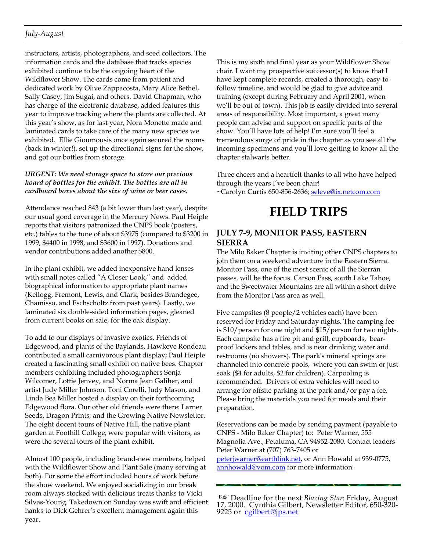### *July-August*

instructors, artists, photographers, and seed collectors. The information cards and the database that tracks species exhibited continue to be the ongoing heart of the Wildflower Show. The cards come from patient and dedicated work by Olive Zappacosta, Mary Alice Bethel, Sally Casey, Jim Sugai, and others. David Chapman, who has charge of the electronic database, added features this year to improve tracking where the plants are collected. At this year's show, as for last year, Nora Monette made and laminated cards to take care of the many new species we exhibited. Ellie Gioumousis once again secured the rooms (back in winter!), set up the directional signs for the show, and got our bottles from storage.

#### *URGENT: We need storage space to store our precious hoard of bottles for the exhibit. The bottles are all in cardboard boxes about the size of wine or beer cases.*

Attendance reached 843 (a bit lower than last year), despite our usual good coverage in the Mercury News. Paul Heiple reports that visitors patronized the CNPS book (posters, etc.) tables to the tune of about \$3975 (compared to \$3200 in 1999, \$4400 in 1998, and \$3600 in 1997). Donations and vendor contributions added another \$800.

In the plant exhibit, we added inexpensive hand lenses with small notes called "A Closer Look," and added biographical information to appropriate plant names (Kellogg, Fremont, Lewis, and Clark, besides Brandegee, Chamisso, and Eschscholtz from past years). Lastly, we laminated six double-sided information pages, gleaned from current books on sale, for the oak display.

To add to our displays of invasive exotics, Friends of Edgewood, and plants of the Baylands, Hawkeye Rondeau contributed a small carnivorous plant display; Paul Heiple created a fascinating small exhibit on native bees. Chapter members exhibiting included photographers Sonja Wilcomer, Lottie Jenvey, and Norma Jean Galiher, and artist Judy Miller Johnson. Toni Corelli, Judy Mason, and Linda Bea Miller hosted a display on their forthcoming Edgewood flora. Our other old friends were there: Larner Seeds, Dragon Prints, and the Growing Native Newsletter. The eight docent tours of Native Hill, the native plant garden at Foothill College, were popular with visitors, as were the several tours of the plant exhibit.

Almost 100 people, including brand-new members, helped with the Wildflower Show and Plant Sale (many serving at both). For some the effort included hours of work before the show weekend. We enjoyed socializing in our break room always stocked with delicious treats thanks to Vicki Silvas-Young. Takedown on Sunday was swift and efficient hanks to Dick Gehrer's excellent management again this year.

This is my sixth and final year as your Wildflower Show chair. I want my prospective successor(s) to know that I have kept complete records, created a thorough, easy-tofollow timeline, and would be glad to give advice and training (except during February and April 2001, when we'll be out of town). This job is easily divided into several areas of responsibility. Most important, a great many people can advise and support on specific parts of the show. You'll have lots of help! I'm sure you'll feel a tremendous surge of pride in the chapter as you see all the incoming specimens and you'll love getting to know all the chapter stalwarts better.

Three cheers and a heartfelt thanks to all who have helped through the years I've been chair! ~Carolyn Curtis 650-856-2636; [seleve@ix.netcom.com](mailto:seleve@ix.netcom.com)

# **FIELD TRIPS**

### **JULY 7-9, MONITOR PASS, EASTERN SIERRA**

The Milo Baker Chapter is inviting other CNPS chapters to join them on a weekend adventure in the Eastern Sierra. Monitor Pass, one of the most scenic of all the Sierran passes. will be the focus. Carson Pass, south Lake Tahoe, and the Sweetwater Mountains are all within a short drive from the Monitor Pass area as well.

Five campsites (8 people/2 vehicles each) have been reserved for Friday and Saturday nights. The camping fee is \$10/person for one night and \$15/person for two nights. Each campsite has a fire pit and grill, cupboards, bearproof lockers and tables, and is near drinking water and restrooms (no showers). The park's mineral springs are channeled into concrete pools, where you can swim or just soak (\$4 for adults, \$2 for children). Carpooling is recommended. Drivers of extra vehicles will need to arrange for offsite parking at the park and/or pay a fee. Please bring the materials you need for meals and their preparation.

Reservations can be made by sending payment (payable to CNPS - Milo Baker Chapter) to: Peter Warner, 555 Magnolia Ave., Petaluma, CA 94952-2080. Contact leaders Peter Warner at (707) 763-7405 or [peterjwarner@earthlink.net,](mailto:peterjwarner@earthlink.net) or Ann Howald at 939-0775, [annhowald@vom.com](mailto:annhowald@vom.com) for more information.

Deadline for the next *Blazing Star*: Friday, August 17, 2000. Cynthia Gilbert, Newsletter Editor, 650-320 9225 or [cgilbert@jps.net](mailto:cgilbert@jps.net)